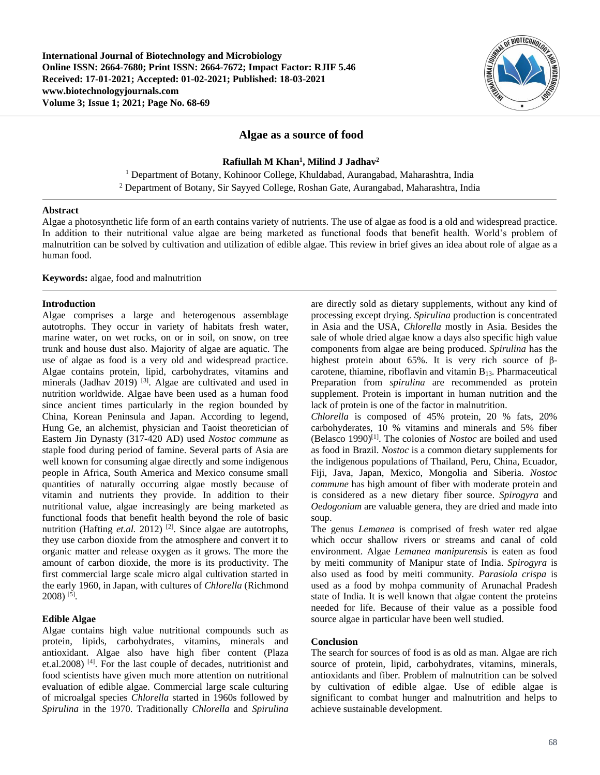**International Journal of Biotechnology and Microbiology Online ISSN: 2664-7680; Print ISSN: 2664-7672; Impact Factor: RJIF 5.46 Received: 17-01-2021; Accepted: 01-02-2021; Published: 18-03-2021 www.biotechnologyjournals.com Volume 3; Issue 1; 2021; Page No. 68-69**



# **Algae as a source of food**

# **Rafiullah M Khan<sup>1</sup> , Milind J Jadhav<sup>2</sup>**

<sup>1</sup> Department of Botany, Kohinoor College, Khuldabad, Aurangabad, Maharashtra, India <sup>2</sup> Department of Botany, Sir Sayyed College, Roshan Gate, Aurangabad, Maharashtra, India

### **Abstract**

Algae a photosynthetic life form of an earth contains variety of nutrients. The use of algae as food is a old and widespread practice. In addition to their nutritional value algae are being marketed as functional foods that benefit health. World's problem of malnutrition can be solved by cultivation and utilization of edible algae. This review in brief gives an idea about role of algae as a human food.

# **Keywords:** algae, food and malnutrition

#### **Introduction**

Algae comprises a large and heterogenous assemblage autotrophs. They occur in variety of habitats fresh water, marine water, on wet rocks, on or in soil, on snow, on tree trunk and house dust also. Majority of algae are aquatic. The use of algae as food is a very old and widespread practice. Algae contains protein, lipid, carbohydrates, vitamins and minerals (Jadhav 2019) <sup>[3]</sup>. Algae are cultivated and used in nutrition worldwide. Algae have been used as a human food since ancient times particularly in the region bounded by China, Korean Peninsula and Japan. According to legend, Hung Ge, an alchemist, physician and Taoist theoretician of Eastern Jin Dynasty (317-420 AD) used *Nostoc commune* as staple food during period of famine. Several parts of Asia are well known for consuming algae directly and some indigenous people in Africa, South America and Mexico consume small quantities of naturally occurring algae mostly because of vitamin and nutrients they provide. In addition to their nutritional value, algae increasingly are being marketed as functional foods that benefit health beyond the role of basic nutrition (Hafting *et.al.* 2012)<sup>[2]</sup>. Since algae are autotrophs, they use carbon dioxide from the atmosphere and convert it to organic matter and release oxygen as it grows. The more the amount of carbon dioxide, the more is its productivity. The first commercial large scale micro algal cultivation started in the early 1960, in Japan, with cultures of *Chlorella* (Richmond 2008) [5] .

### **Edible Algae**

Algae contains high value nutritional compounds such as protein, lipids, carbohydrates, vitamins, minerals and antioxidant. Algae also have high fiber content (Plaza et.al.2008) [4]. For the last couple of decades, nutritionist and food scientists have given much more attention on nutritional evaluation of edible algae. Commercial large scale culturing of microalgal species *Chlorella* started in 1960s followed by *Spirulina* in the 1970. Traditionally *Chlorella* and *Spirulina*

are directly sold as dietary supplements, without any kind of processing except drying. *Spirulina* production is concentrated in Asia and the USA, *Chlorella* mostly in Asia. Besides the sale of whole dried algae know a days also specific high value components from algae are being produced. *Spirulina* has the highest protein about 65%. It is very rich source of βcarotene, thiamine, riboflavin and vitamin  $B_{13}$ . Pharmaceutical Preparation from *spirulina* are recommended as protein supplement. Protein is important in human nutrition and the lack of protein is one of the factor in malnutrition.

*Chlorella* is composed of 45% protein, 20 % fats, 20% carbohyderates, 10 % vitamins and minerals and 5% fiber (Belasco 1990)[1]. The colonies of *Nostoc* are boiled and used as food in Brazil. *Nostoc* is a common dietary supplements for the indigenous populations of Thailand, Peru, China, Ecuador, Fiji, Java, Japan, Mexico, Mongolia and Siberia. *Nostoc commune* has high amount of fiber with moderate protein and is considered as a new dietary fiber source. *Spirogyra* and *Oedogonium* are valuable genera, they are dried and made into soup.

The genus *Lemanea* is comprised of fresh water red algae which occur shallow rivers or streams and canal of cold environment. Algae *Lemanea manipurensis* is eaten as food by meiti community of Manipur state of India. *Spirogyra* is also used as food by meiti community*. Parasiola crispa* is used as a food by mohpa community of Arunachal Pradesh state of India. It is well known that algae content the proteins needed for life. Because of their value as a possible food source algae in particular have been well studied.

# **Conclusion**

The search for sources of food is as old as man. Algae are rich source of protein, lipid, carbohydrates, vitamins, minerals, antioxidants and fiber. Problem of malnutrition can be solved by cultivation of edible algae. Use of edible algae is significant to combat hunger and malnutrition and helps to achieve sustainable development.